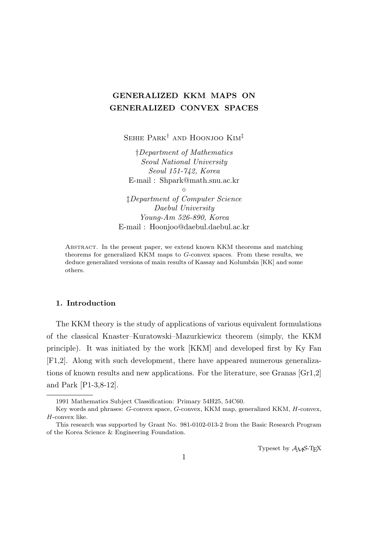# **GENERALIZED KKM MAPS ON GENERALIZED CONVEX SPACES**

Sehie Park*†* and Hoonjoo Kim*‡*

*†Department of Mathematics Seoul National University Seoul 151-742, Korea* E-mail : Shpark@math.snu.ac.kr

*◦*

*‡Department of Computer Science Daebul University Young-Am 526-890, Korea* E-mail : Hoonjoo@daebul.daebul.ac.kr

Abstract. In the present paper, we extend known KKM theorems and matching theorems for generalized KKM maps to *G*-convex spaces. From these results, we deduce generalized versions of main results of Kassay and Kolumbán [KK] and some others.

# **1. Introduction**

The KKM theory is the study of applications of various equivalent formulations of the classical Knaster–Kuratowski–Mazurkiewicz theorem (simply, the KKM principle). It was initiated by the work [KKM] and developed first by Ky Fan [F1,2]. Along with such development, there have appeared numerous generalizations of known results and new applications. For the literature, see Granas [Gr1,2] and Park [P1-3,8-12].

Typeset by  $\mathcal{A}\mathcal{M}$ S-T<sub>E</sub>X

<sup>1991</sup> Mathematics Subject Classification: Primary 54H25, 54C60.

Key words and phrases: *G*-convex space, *G*-convex, KKM map, generalized KKM, *H*-convex, *H*-convex like.

This research was supported by Grant No. 981-0102-013-2 from the Basic Research Program of the Korea Science & Engineering Foundation.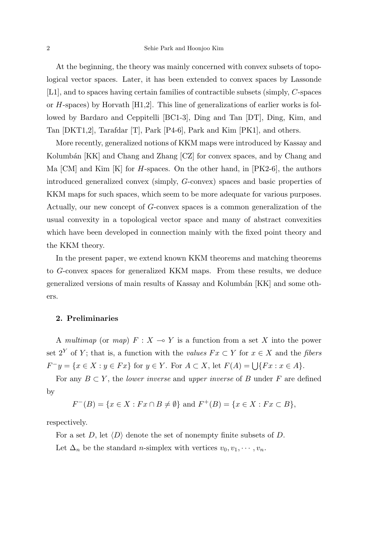At the beginning, the theory was mainly concerned with convex subsets of topological vector spaces. Later, it has been extended to convex spaces by Lassonde [L1], and to spaces having certain families of contractible subsets (simply, *C*-spaces or *H*-spaces) by Horvath [H1,2]. This line of generalizations of earlier works is followed by Bardaro and Ceppitelli [BC1-3], Ding and Tan [DT], Ding, Kim, and Tan [DKT1,2], Tarafdar [T], Park [P4-6], Park and Kim [PK1], and others.

More recently, generalized notions of KKM maps were introduced by Kassay and Kolumbán [KK] and Chang and Zhang [CZ] for convex spaces, and by Chang and Ma [CM] and Kim [K] for *H*-spaces. On the other hand, in [PK2-6], the authors introduced generalized convex (simply, *G*-convex) spaces and basic properties of KKM maps for such spaces, which seem to be more adequate for various purposes. Actually, our new concept of *G*-convex spaces is a common generalization of the usual convexity in a topological vector space and many of abstract convexities which have been developed in connection mainly with the fixed point theory and the KKM theory.

In the present paper, we extend known KKM theorems and matching theorems to *G*-convex spaces for generalized KKM maps. From these results, we deduce generalized versions of main results of Kassay and Kolumbán [KK] and some others.

# **2. Preliminaries**

A *multimap* (or *map*)  $F: X \to Y$  is a function from a set X into the power set  $2^Y$  of *Y*; that is, a function with the *values*  $Fx \subset Y$  for  $x \in X$  and the *fibers*  $F^-y = \{x \in X : y \in Fx\}$  for  $y \in Y$ . For  $A \subset X$ , let  $F(A) = \bigcup \{Fx : x \in A\}$ .

For any  $B \subset Y$ , the *lower inverse* and *upper inverse* of *B* under *F* are defined by

$$
F^{-}(B) = \{ x \in X : Fx \cap B \neq \emptyset \} \text{ and } F^{+}(B) = \{ x \in X : Fx \subset B \},
$$

respectively.

For a set *D*, let  $\langle D \rangle$  denote the set of nonempty finite subsets of *D*.

Let  $\Delta_n$  be the standard *n*-simplex with vertices  $v_0, v_1, \dots, v_n$ .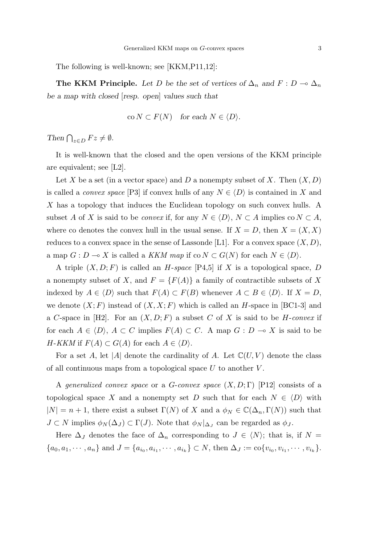The following is well-known; see [KKM,P11,12]:

**The KKM Principle.** Let *D* be the set of vertices of  $\Delta_n$  and  $F: D \to \Delta_n$ *be a map with closed* [*resp. open*] *values such that*

$$
co N \subset F(N) \quad for each N \in \langle D \rangle.
$$

*Then*  $\bigcap_{z \in D} Fz \neq \emptyset$ *.* 

It is well-known that the closed and the open versions of the KKM principle are equivalent; see [L2].

Let *X* be a set (in a vector space) and *D* a nonempty subset of *X*. Then  $(X, D)$ is called a *convex space* [P3] if convex hulls of any  $N \in \langle D \rangle$  is contained in X and *X* has a topology that induces the Euclidean topology on such convex hulls. A subset *A* of *X* is said to be *convex* if, for any  $N \in \langle D \rangle$ ,  $N \subset A$  implies co  $N \subset A$ , where co denotes the convex hull in the usual sense. If  $X = D$ , then  $X = (X, X)$ reduces to a convex space in the sense of Lassonde  $[L1]$ . For a convex space  $(X, D)$ , a map  $G: D \to X$  is called a *KKM map* if  $\text{co } N \subset G(N)$  for each  $N \in \langle D \rangle$ .

A triple (*X, D*; *F*) is called an *H*-*space* [P4,5] if *X* is a topological space, *D* a nonempty subset of *X*, and  $F = {F(A)}$  a family of contractible subsets of *X* indexed by  $A \in \langle D \rangle$  such that  $F(A) \subset F(B)$  whenever  $A \subset B \in \langle D \rangle$ . If  $X = D$ , we denote  $(X; F)$  instead of  $(X, X; F)$  which is called an *H*-space in [BC1-3] and a *C*-space in [H2]. For an  $(X, D; F)$  a subset *C* of *X* is said to be *H*-*convex* if for each  $A \in \langle D \rangle$ ,  $A \subset C$  implies  $F(A) \subset C$ . A map  $G : D \to X$  is said to be *H*-*KKM* if  $F(A) \subset G(A)$  for each  $A \in \langle D \rangle$ .

For a set *A*, let |*A*| denote the cardinality of *A*. Let  $\mathbb{C}(U, V)$  denote the class of all continuous maps from a topological space *U* to another *V* .

A *generalized convex space* or a *G*-*convex space* (*X, D*; Γ) [P12] consists of a topological space X and a nonempty set D such that for each  $N \in \langle D \rangle$  with  $|N| = n + 1$ , there exist a subset  $\Gamma(N)$  of *X* and a  $\phi_N \in \mathbb{C}(\Delta_n, \Gamma(N))$  such that  $J \subset N$  implies  $\phi_N(\Delta_J) \subset \Gamma(J)$ . Note that  $\phi_N|_{\Delta_J}$  can be regarded as  $\phi_J$ .

Here  $\Delta_J$  denotes the face of  $\Delta_n$  corresponding to  $J \in \langle N \rangle$ ; that is, if  $N =$  $\{a_0, a_1, \dots, a_n\}$  and  $J = \{a_{i_0}, a_{i_1}, \dots, a_{i_k}\} \subset N$ , then  $\Delta_J := \text{co}\{v_{i_0}, v_{i_1}, \dots, v_{i_k}\}.$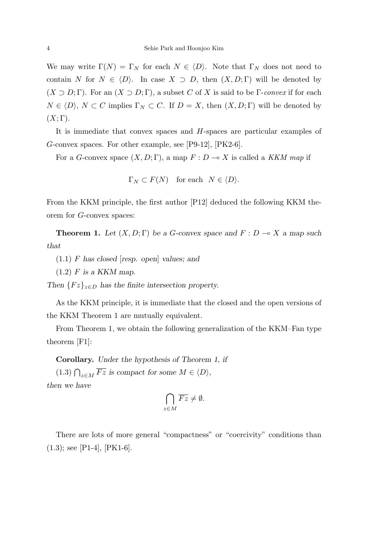We may write  $\Gamma(N) = \Gamma_N$  for each  $N \in \langle D \rangle$ . Note that  $\Gamma_N$  does not need to contain *N* for  $N \in \langle D \rangle$ . In case  $X \supset D$ , then  $(X, D; \Gamma)$  will be denoted by  $(X \supset D; \Gamma)$ . For an  $(X \supset D; \Gamma)$ , a subset *C* of *X* is said to be  $\Gamma$ -*convex* if for each  $N \in \langle D \rangle$ ,  $N \subset C$  implies  $\Gamma_N \subset C$ . If  $D = X$ , then  $(X, D; \Gamma)$  will be denoted by  $(X; \Gamma)$ .

It is immediate that convex spaces and *H*-spaces are particular examples of *G*-convex spaces. For other example, see [P9-12], [PK2-6].

For a *G*-convex space  $(X, D; \Gamma)$ , a map  $F: D \to X$  is called a *KKM map* if

$$
\Gamma_N \subset F(N) \quad \text{for each} \quad N \in \langle D \rangle.
$$

From the KKM principle, the first author [P12] deduced the following KKM theorem for *G*-convex spaces:

**Theorem 1.** *Let*  $(X, D; \Gamma)$  *be a G*-convex space and  $F: D \to X$  *a map such that*

- (1*.*1) *F has closed* [*resp. open*] *values; and*
- (1*.*2) *F is a KKM map.*

*Then*  ${Fz}_{z \in D}$  *has the finite intersection property.* 

As the KKM principle, it is immediate that the closed and the open versions of the KKM Theorem 1 are mutually equivalent.

From Theorem 1, we obtain the following generalization of the KKM–Fan type theorem [F1]:

**Corollary.** *Under the hypothesis of Theorem 1, if*

 $(1.3)$   $\bigcap_{z \in M} \overline{Fz}$  is compact for some  $M \in \langle D \rangle$ , *then we have*

$$
\bigcap_{z\in M}\overline{Fz}\neq\emptyset.
$$

There are lots of more general "compactness" or "coercivity" conditions than  $(1.3)$ ; see [P1-4], [PK1-6].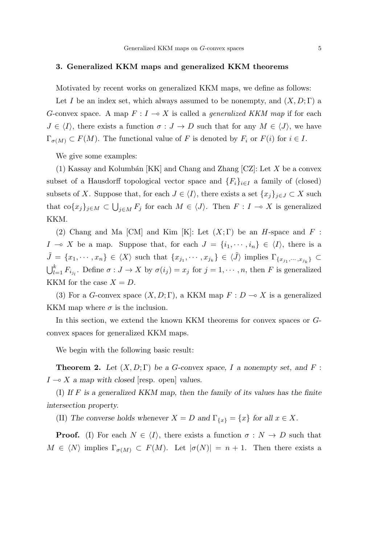### **3. Generalized KKM maps and generalized KKM theorems**

Motivated by recent works on generalized KKM maps, we define as follows:

Let *I* be an index set, which always assumed to be nonempty, and  $(X, D; \Gamma)$  a *G*-convex space. A map  $F: I \to X$  is called a *generalized KKM map* if for each  $J \in \langle I \rangle$ , there exists a function  $\sigma : J \to D$  such that for any  $M \in \langle J \rangle$ , we have  $\Gamma_{\sigma(M)} \subset F(M)$ . The functional value of *F* is denoted by  $F_i$  or  $F(i)$  for  $i \in I$ .

We give some examples:

(1) Kassay and Kolumbán  $[KK]$  and Chang and Zhang  $[CZ]$ : Let X be a convex subset of a Hausdorff topological vector space and  ${F_i}_{i \in I}$  a family of (closed) subsets of *X*. Suppose that, for each  $J \in \langle I \rangle$ , there exists a set  $\{x_j\}_{j \in J} \subset X$  such that  $\text{co}\{x_j\}_{j\in M} \subset \bigcup_{j\in M} F_j$  for each  $M \in \langle J \rangle$ . Then  $F: I \to X$  is generalized KKM.

(2) Chang and Ma [CM] and Kim [K]: Let  $(X;\Gamma)$  be an *H*-space and *F* : *I*  $\rightarrow$  *X* be a map. Suppose that, for each  $J = \{i_1, \dots, i_n\} \in \langle I \rangle$ , there is a  $\tilde{J} = \{x_1, \dots, x_n\} \in \langle X \rangle$  such that  $\{x_{j_1}, \dots, x_{j_k}\} \in \langle \tilde{J} \rangle$  implies  $\Gamma_{\{x_{j_1}, \dots, x_{j_k}\}} \subset$  $\bigcup_{l=1}^{k} F_{i_{j_l}}$ . Define  $\sigma: J \to X$  by  $\sigma(i_j) = x_j$  for  $j = 1, \dots, n$ , then *F* is generalized KKM for the case  $X = D$ .

(3) For a *G*-convex space  $(X, D; \Gamma)$ , a KKM map  $F: D \to X$  is a generalized KKM map where  $\sigma$  is the inclusion.

In this section, we extend the known KKM theorems for convex spaces or *G*convex spaces for generalized KKM maps.

We begin with the following basic result:

**Theorem 2.** Let  $(X, D; \Gamma)$  be a *G*-convex space, *I* a nonempty set, and *F* :  $I \rightarrow X$  *a map with closed* [resp. open] *values.* 

(I) *If F is a generalized KKM map, then the family of its values has the finite intersection property.*

(II) The converse holds whenever  $X = D$  and  $\Gamma_{\{x\}} = \{x\}$  for all  $x \in X$ .

**Proof.** (I) For each  $N \in \langle I \rangle$ , there exists a function  $\sigma : N \to D$  such that  $M \in \langle N \rangle$  implies  $\Gamma_{\sigma(M)} \subset F(M)$ . Let  $|\sigma(N)| = n + 1$ . Then there exists a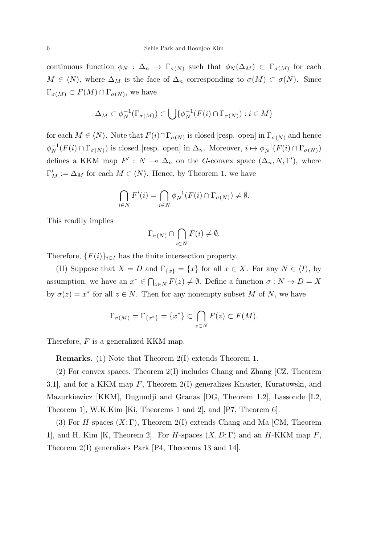continuous function  $\phi_N$ :  $\Delta_n \to \Gamma_{\sigma(N)}$  such that  $\phi_N(\Delta_M) \subset \Gamma_{\sigma(M)}$  for each  $M \in \langle N \rangle$ , where  $\Delta_M$  is the face of  $\Delta_n$  corresponding to  $\sigma(M) \subset \sigma(N)$ . Since  $\Gamma_{\sigma(M)} \subset F(M) \cap \Gamma_{\sigma(N)}$ , we have

$$
\Delta_M \subset \phi_N^{-1}(\Gamma_{\sigma(M)}) \subset \bigcup \{ \phi_N^{-1}(F(i) \cap \Gamma_{\sigma(N)}) : i \in M \}
$$

for each  $M \in \langle N \rangle$ . Note that  $F(i) \cap \Gamma_{\sigma(N)}$  is closed [resp. open] in  $\Gamma_{\sigma(N)}$  and hence  $\phi_N^{-1}(F(i) \cap \Gamma_{\sigma(N)})$  is closed [resp. open] in  $\Delta_n$ . Moreover,  $i \mapsto \phi_N^{-1}(F(i) \cap \Gamma_{\sigma(N)})$ defines a KKM map  $F' : N \to \Delta_n$  on the *G*-convex space  $(\Delta_n, N, \Gamma')$ , where  $\Gamma'_M := \Delta_M$  for each  $M \in \langle N \rangle$ . Hence, by Theorem 1, we have

$$
\bigcap_{i\in N} F'(i) = \bigcap_{i\in N} \phi_N^{-1}(F(i) \cap \Gamma_{\sigma(N)}) \neq \emptyset.
$$

This readily implies

$$
\Gamma_{\sigma(N)} \cap \bigcap_{i \in N} F(i) \neq \emptyset.
$$

Therefore,  ${F(i)}_{i \in I}$  has the finite intersection property.

(II) Suppose that  $X = D$  and  $\Gamma_{\{x\}} = \{x\}$  for all  $x \in X$ . For any  $N \in \langle I \rangle$ , by assumption, we have an  $x^* \in \bigcap_{z \in N} F(z) \neq \emptyset$ . Define a function  $\sigma : N \to D = X$ by  $\sigma(z) = x^*$  for all  $z \in N$ . Then for any nonempty subset *M* of *N*, we have

$$
\Gamma_{\sigma(M)} = \Gamma_{\{x^*\}} = \{x^*\} \subset \bigcap_{z \in N} F(z) \subset F(M).
$$

Therefore, *F* is a generalized KKM map.

**Remarks.** (1) Note that Theorem 2(I) extends Theorem 1.

(2) For convex spaces, Theorem 2(I) includes Chang and Zhang [CZ, Theorem 3.1], and for a KKM map *F*, Theorem 2(I) generalizes Knaster, Kuratowski, and Mazurkiewicz [KKM], Dugundji and Granas [DG, Theorem 1.2], Lassonde [L2, Theorem 1], W.K.Kim [Ki, Theorems 1 and 2], and [P7, Theorem 6].

(3) For *H*-spaces (*X*; Γ), Theorem 2(I) extends Chang and Ma [CM, Theorem 1], and H. Kim [K, Theorem 2]. For *H*-spaces (*X, D*; Γ) and an *H*-KKM map *F*, Theorem 2(I) generalizes Park [P4, Theorems 13 and 14].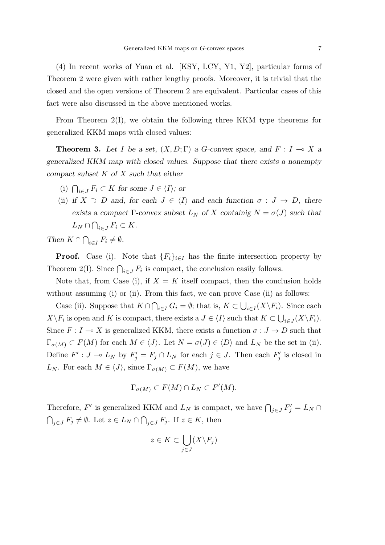(4) In recent works of Yuan et al. [KSY, LCY, Y1, Y2], particular forms of Theorem 2 were given with rather lengthy proofs. Moreover, it is trivial that the closed and the open versions of Theorem 2 are equivalent. Particular cases of this fact were also discussed in the above mentioned works.

From Theorem  $2(I)$ , we obtain the following three KKM type theorems for generalized KKM maps with closed values:

**Theorem 3.** Let *I* be a set,  $(X, D; \Gamma)$  a *G*-convex space, and  $F: I \to X$  a *generalized KKM map with closed values. Suppose that there exists a nonempty compact subset K of X such that either*

- (i)  $\bigcap_{i \in J} F_i \subset K$  *for some J* ∈  $\langle I \rangle$ *; or*
- (ii) *if*  $X \supset D$  *and, for each*  $J \in \langle I \rangle$  *and each function*  $\sigma : J \to D$ *, there exists a compact* Γ*-convex subset*  $L_N$  *of X containig*  $N = \sigma(J)$  *such that*  $L_N \cap \bigcap_{i \in J} F_i \subset K$ .

*Then*  $K \cap \bigcap_{i \in I} F_i \neq \emptyset$ .

**Proof.** Case (i). Note that  ${F_i}_{i \in I}$  has the finite intersection property by Theorem 2(I). Since  $\bigcap_{i \in J} F_i$  is compact, the conclusion easily follows.

Note that, from Case (i), if  $X = K$  itself compact, then the conclusion holds without assuming (i) or (ii). From this fact, we can prove Case (ii) as follows:

Case (ii). Suppose that  $K \cap \bigcap_{i \in I} G_i = \emptyset$ ; that is,  $K \subset \bigcup_{i \in I} (X \setminus F_i)$ . Since each *X*  $\setminus$  *F*<sub>*i*</sub> is open and *K* is compact, there exists a *J*  $\in \langle I \rangle$  such that  $K \subset \bigcup_{i \in J} (X \setminus F_i)$ . Since  $F: I \to X$  is generalized KKM, there exists a function  $\sigma: J \to D$  such that  $\Gamma_{\sigma(M)} \subset F(M)$  for each  $M \in \langle J \rangle$ . Let  $N = \sigma(J) \in \langle D \rangle$  and  $L_N$  be the set in (ii). Define  $F' : J \to L_N$  by  $F'_j = F_j \cap L_N$  for each  $j \in J$ . Then each  $F'_j$  is closed in *L*<sub>*N*</sub>. For each  $M \in \langle J \rangle$ , since  $\Gamma_{\sigma(M)} \subset F(M)$ , we have

$$
\Gamma_{\sigma(M)} \subset F(M) \cap L_N \subset F'(M).
$$

Therefore, *F'* is generalized KKM and  $L_N$  is compact, we have  $\bigcap_{j\in J} F'_j = L_N \cap I$  $\bigcap_{j \in J} F_j \neq \emptyset$ . Let  $z \in L_N \cap \bigcap_{j \in J} F_j$ . If  $z \in K$ , then

$$
z\in K\subset \bigcup_{j\in J}(X\backslash F_j)
$$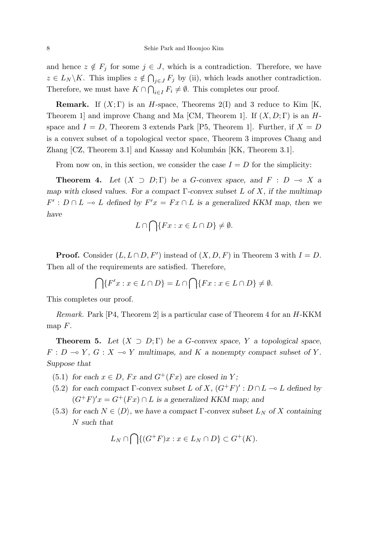and hence  $z \notin F_j$  for some  $j \in J$ , which is a contradiction. Therefore, we have  $z \in L_N \backslash K$ . This implies  $z \notin \bigcap_{j \in J} F_j$  by (ii), which leads another contradiction. Therefore, we must have  $K \cap \bigcap_{i \in I} F_i \neq \emptyset$ . This completes our proof.

**Remark.** If  $(X;\Gamma)$  is an *H*-space, Theorems 2(I) and 3 reduce to Kim [K, Theorem 1] and improve Chang and Ma [CM, Theorem 1]. If (*X, D*; Γ) is an *H*space and  $I = D$ , Theorem 3 extends Park [P5, Theorem 1]. Further, if  $X = D$ is a convex subset of a topological vector space, Theorem 3 improves Chang and Zhang [CZ, Theorem 3.1] and Kassay and Kolumbán [KK, Theorem 3.1].

From now on, in this section, we consider the case  $I = D$  for the simplicity:

**Theorem 4.** *Let*  $(X \supset D; \Gamma)$  *be a G-convex space, and*  $F : D \multimap X$  *a map with closed values. For a compact* Γ*-convex subset L of X, if the multimap*  $F'$ :  $D \cap L \to L$  defined by  $F'x = Fx \cap L$  is a generalized KKM map, then we *have*

$$
L \cap \bigcap \{Fx : x \in L \cap D\} \neq \emptyset.
$$

**Proof.** Consider  $(L, L \cap D, F')$  instead of  $(X, D, F)$  in Theorem 3 with  $I = D$ . Then all of the requirements are satisfied. Therefore,

$$
\bigcap \{F'x : x \in L \cap D\} = L \cap \bigcap \{Fx : x \in L \cap D\} \neq \emptyset.
$$

This completes our proof.

*Remark.* Park [P4, Theorem 2] is a particular case of Theorem 4 for an *H*-KKM map *F*.

**Theorem 5.** Let  $(X \supset D; \Gamma)$  be a *G*-convex space, *Y* a topological space,  $F: D \to Y, G: X \to Y$  multimaps, and *K* a nonempty compact subset of *Y*. *Suppose that*

- (5.1) *for each*  $x \in D$ *, Fx and*  $G^+(Fx)$  *are closed in Y*;
- (5.2) *for each compact*  $\Gamma$ *-convex subset*  $L$  *of*  $X$ *,*  $(G^+F)'$  :  $D \cap L \to L$  *defined by*  $(G^+F)'x = G^+(Fx) \cap L$  *is a generalized KKM map; and*
- (5.3) *for each*  $N \in \langle D \rangle$ *, we have a compact*  $\Gamma$ *-convex subset*  $L_N$  *of*  $X$  *containing N such that*

$$
L_N \cap \bigcap \{ (G^+F)x : x \in L_N \cap D \} \subset G^+(K).
$$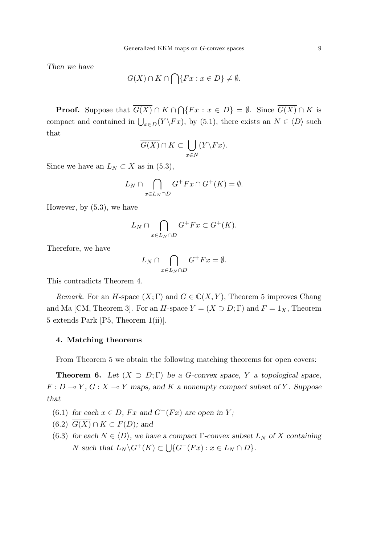*Then we have*

$$
\overline{G(X)} \cap K \cap \bigcap \{Fx : x \in D\} \neq \emptyset.
$$

**Proof.** Suppose that  $\overline{G(X)} \cap K \cap \bigcap \{Fx : x \in D\} = \emptyset$ . Since  $\overline{G(X)} \cap K$  is compact and contained in  $\bigcup_{x \in D} (Y \backslash F x)$ , by (5.1), there exists an  $N \in \langle D \rangle$  such that

$$
\overline{G(X)} \cap K \subset \bigcup_{x \in N} (Y \backslash Fx).
$$

Since we have an  $L_N \subset X$  as in (5.3),

$$
L_N \cap \bigcap_{x \in L_N \cap D} G^+ F x \cap G^+(K) = \emptyset.
$$

However, by (5.3), we have

$$
L_N \cap \bigcap_{x \in L_N \cap D} G^+ F x \subset G^+(K).
$$

Therefore, we have

$$
L_N \cap \bigcap_{x \in L_N \cap D} G^+ F x = \emptyset.
$$

This contradicts Theorem 4.

*Remark.* For an *H*-space  $(X; \Gamma)$  and  $G \in \mathbb{C}(X, Y)$ , Theorem 5 improves Chang and Ma [CM, Theorem 3]. For an *H*-space  $Y = (X \supset D; \Gamma)$  and  $F = 1_X$ , Theorem 5 extends Park [P5, Theorem 1(ii)].

# **4. Matching theorems**

From Theorem 5 we obtain the following matching theorems for open covers:

**Theorem 6.** Let  $(X \supset D; \Gamma)$  be a *G*-convex space, *Y* a topological space,  $F: D \to Y, G: X \to Y$  maps, and *K* a nonempty compact subset of *Y*. Suppose *that*

- (6.1) *for each*  $x \in D$ *, Fx and*  $G^{-}(Fx)$  *are open in Y*;
- $(6.2)$   $\overline{G(X)} \cap K \subset F(D)$ *;* and
- (6.3) *for each*  $N \in \langle D \rangle$ *, we have a compact*  $\Gamma$ -convex subset  $L_N$  *of*  $X$  *containing N* such that  $L_N \backslash G^+(K) \subset \bigcup \{ G^-(Fx) : x \in L_N \cap D \}$ .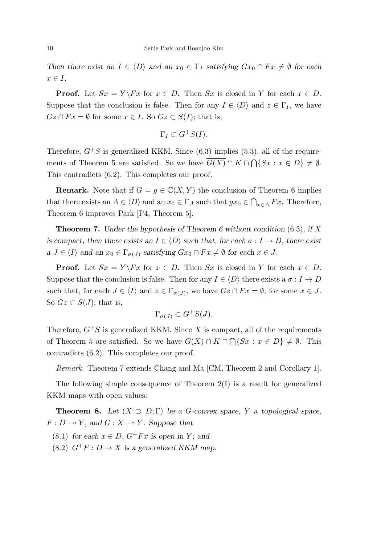*Then there exist an*  $I \in \langle D \rangle$  *and an*  $x_0 \in \Gamma_I$  *satisfying*  $Gx_0 \cap Fx \neq \emptyset$  *for each*  $x \in I$ *.* 

**Proof.** Let  $Sx = Y \ Fx$  for  $x \in D$ . Then  $Sx$  is closed in *Y* for each  $x \in D$ . Suppose that the conclusion is false. Then for any  $I \in \langle D \rangle$  and  $z \in \Gamma_I$ , we have  $Gz \cap Fx = \emptyset$  for some  $x \in I$ . So  $Gz \subset S(I)$ ; that is,

$$
\Gamma_I \subset G^+S(I).
$$

Therefore,  $G^+S$  is generalized KKM. Since (6.3) implies (5.3), all of the requirements of Theorem 5 are satisfied. So we have  $\overline{G(X)} \cap K \cap \bigcap \{Sx : x \in D\} \neq \emptyset$ . This contradicts (6.2). This completes our proof.

**Remark.** Note that if  $G = g \in \mathbb{C}(X, Y)$  the conclusion of Theorem 6 implies that there exists an  $A \in \langle D \rangle$  and an  $x_0 \in \Gamma_A$  such that  $gx_0 \in \bigcap_{x \in A} F_x$ . Therefore, Theorem 6 improves Park [P4, Theorem 5].

**Theorem 7.** *Under the hypothesis of Theorem 6 without condition* (6.3)*, if X is compact, then there exists an*  $I \in \langle D \rangle$  *such that, for each*  $\sigma : I \to D$ *, there exist*  $a \, J \in \langle I \rangle$  and an  $x_0 \in \Gamma_{\sigma(J)}$  satisfying  $Gx_0 \cap Fx \neq \emptyset$  for each  $x \in J$ .

**Proof.** Let  $Sx = Y \ Fx$  for  $x \in D$ . Then  $Sx$  is closed in *Y* for each  $x \in D$ . Suppose that the conclusion is false. Then for any  $I \in \langle D \rangle$  there exists a  $\sigma : I \to D$ such that, for each  $J \in \langle I \rangle$  and  $z \in \Gamma_{\sigma(J)}$ , we have  $Gz \cap Fx = \emptyset$ , for some  $x \in J$ . So  $Gz \subset S(J)$ ; that is,

$$
\Gamma_{\sigma(J)} \subset G^+S(J).
$$

Therefore,  $G^+S$  is generalized KKM. Since X is compact, all of the requirements of Theorem 5 are satisfied. So we have  $\overline{G(X)} \cap K \cap \bigcap \{Sx : x \in D\} \neq \emptyset$ . This contradicts (6.2). This completes our proof.

*Remark.* Theorem 7 extends Chang and Ma [CM, Theorem 2 and Corollary 1].

The following simple consequence of Theorem  $2(I)$  is a result for generalized KKM maps with open values:

**Theorem 8.** Let  $(X \supset D; \Gamma)$  be a *G*-convex space, *Y* a topological space,  $F: D \to Y$ , and  $G: X \to Y$ . Suppose that

- $(8.1)$  *for each*  $x \in D$ *,*  $G^{+}Fx$  *is open in Y*; and
- $(8.2)$   $G^+F: D \to X$  is a generalized KKM map.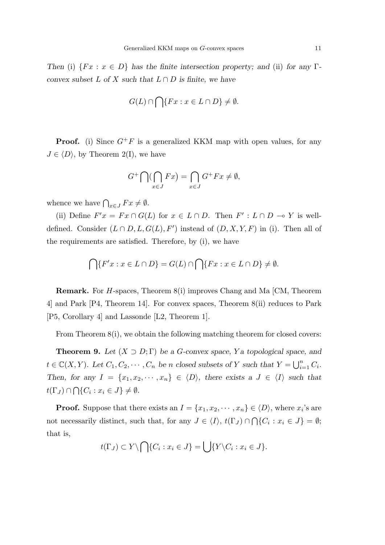*Then* (i)  $\{Fx : x \in D\}$  *has the finite intersection property; and* (ii) *for any* Γ *convex subset*  $L$  *of*  $X$  *such that*  $L \cap D$  *is finite, we have* 

$$
G(L) \cap \bigcap \{Fx : x \in L \cap D\} \neq \emptyset.
$$

**Proof.** (i) Since  $G^+F$  is a generalized KKM map with open values, for any  $J \in \langle D \rangle$ , by Theorem 2(I), we have

$$
G^+ \bigcap (\bigcap_{x \in J} Fx) = \bigcap_{x \in J} G^+ Fx \neq \emptyset,
$$

whence we have  $\bigcap_{x \in J} F x \neq \emptyset$ .

(ii) Define  $F'x = Fx \cap G(L)$  for  $x \in L \cap D$ . Then  $F' : L \cap D \multimap Y$  is welldefined. Consider  $(L \cap D, L, G(L), F')$  instead of  $(D, X, Y, F)$  in (i). Then all of the requirements are satisfied. Therefore, by (i), we have

$$
\bigcap \{F'x : x \in L \cap D\} = G(L) \cap \bigcap \{Fx : x \in L \cap D\} \neq \emptyset.
$$

**Remark.** For *H*-spaces, Theorem 8(i) improves Chang and Ma [CM, Theorem 4] and Park [P4, Theorem 14]. For convex spaces, Theorem 8(ii) reduces to Park [P5, Corollary 4] and Lassonde [L2, Theorem 1].

From Theorem 8(i), we obtain the following matching theorem for closed covers:

**Theorem 9.** Let  $(X \supset D; \Gamma)$  be a *G*-convex space, *Y* a topological space, and  $t \in \mathbb{C}(X, Y)$ . Let  $C_1, C_2, \cdots, C_n$  be n closed subsets of Y such that  $Y = \bigcup_{i=1}^n C_i$ . *Then, for any*  $I = \{x_1, x_2, \cdots, x_n\} \in \langle D \rangle$ , there exists a  $J \in \langle I \rangle$  such that  $t(\Gamma_J) \cap \bigcap \{C_i : x_i \in J\} \neq \emptyset.$ 

**Proof.** Suppose that there exists an  $I = \{x_1, x_2, \dots, x_n\} \in \langle D \rangle$ , where  $x_i$ 's are not necessarily distinct, such that, for any  $J \in \langle I \rangle$ ,  $t(\Gamma_J) \cap \bigcap \{C_i : x_i \in J\} = \emptyset$ ; that is,

$$
t(\Gamma_J) \subset Y \setminus \bigcap \{C_i : x_i \in J\} = \bigcup \{Y \setminus C_i : x_i \in J\}.
$$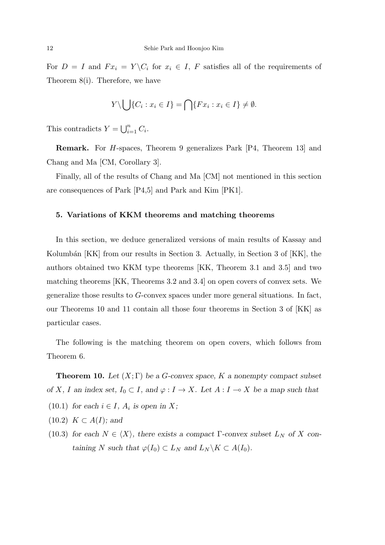For  $D = I$  and  $Fx_i = Y \setminus C_i$  for  $x_i \in I$ ,  $F$  satisfies all of the requirements of Theorem 8(i). Therefore, we have

$$
Y \setminus \bigcup \{C_i : x_i \in I\} = \bigcap \{Fx_i : x_i \in I\} \neq \emptyset.
$$

This contradicts  $Y = \bigcup_{i=1}^{n} C_i$ .

**Remark.** For *H*-spaces, Theorem 9 generalizes Park [P4, Theorem 13] and Chang and Ma [CM, Corollary 3].

Finally, all of the results of Chang and Ma [CM] not mentioned in this section are consequences of Park [P4,5] and Park and Kim [PK1].

#### **5. Variations of KKM theorems and matching theorems**

In this section, we deduce generalized versions of main results of Kassay and Kolumbán [KK] from our results in Section 3. Actually, in Section 3 of [KK], the authors obtained two KKM type theorems [KK, Theorem 3.1 and 3.5] and two matching theorems [KK, Theorems 3.2 and 3.4] on open covers of convex sets. We generalize those results to *G*-convex spaces under more general situations. In fact, our Theorems 10 and 11 contain all those four theorems in Section 3 of [KK] as particular cases.

The following is the matching theorem on open covers, which follows from Theorem 6.

**Theorem 10.** Let  $(X; \Gamma)$  be a *G*-convex space, *K* a nonempty compact subset *of X, I* an index set,  $I_0 \subset I$ *, and*  $\varphi : I \to X$ *.* Let  $A : I \to X$  be a map such that

- $(10.1)$  *for each*  $i \in I$ *,*  $A_i$  *is open in*  $X$ *;*
- $(10.2)$   $K \subset A(I)$ *;* and
- (10.3) *for each*  $N \in \langle X \rangle$ *, there exists a compact*  $\Gamma$ -convex subset  $L_N$  *of*  $X$  *containing N such that*  $\varphi(I_0) \subset L_N$  *and*  $L_N \backslash K \subset A(I_0)$ *.*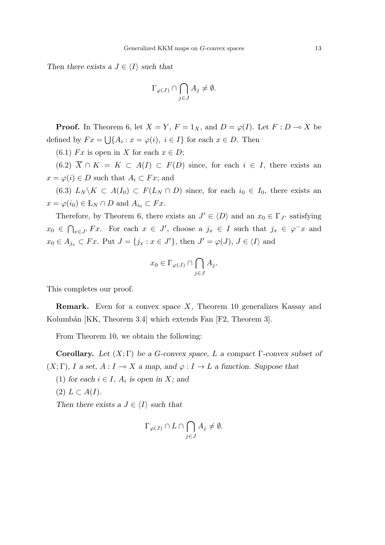*Then there exists a*  $J \in \langle I \rangle$  *such that* 

$$
\Gamma_{\varphi(J)} \cap \bigcap_{j \in J} A_j \neq \emptyset.
$$

**Proof.** In Theorem 6, let  $X = Y$ ,  $F = 1_X$ , and  $D = \varphi(I)$ . Let  $F: D \to X$  be defined by  $Fx = \bigcup \{A_i : x = \varphi(i), i \in I\}$  for each  $x \in D$ . Then

(6.1)  $Fx$  is open in *X* for each  $x \in D$ ;

 $(6.2)$   $\overline{X} \cap K = K \subset A(I) \subset F(D)$  since, for each  $i \in I$ , there exists an  $x = \varphi(i) \in D$  such that  $A_i \subset Fx$ ; and

(6.3)  $L_N \ K \subset A(I_0) \subset F(L_N \cap D)$  since, for each  $i_0 \in I_0$ , there exists an  $x = \varphi(i_0) \in \mathcal{L}_N \cap D$  and  $A_{i_0} \subset Fx$ .

Therefore, by Theorem 6, there exists an  $J' \in \langle D \rangle$  and an  $x_0 \in \Gamma_{J'}$  satisfying  $x_0 \in \bigcap_{x \in J'} F_x$ . For each  $x \in J'$ , choose a  $j_x \in I$  such that  $j_x \in \varphi^{-}x$  and  $x_0 \in A_{j_x} \subset Fx$ . Put  $J = \{j_x : x \in J'\}$ , then  $J' = \varphi(J)$ ,  $J \in \langle I \rangle$  and

$$
x_0 \in \Gamma_{\varphi(J)} \cap \bigcap_{j \in J} A_j.
$$

This completes our proof.

**Remark.** Even for a convex space *X*, Theorem 10 generalizes Kassay and Kolumbán [KK, Theorem 3.4] which extends Fan [F2, Theorem 3].

From Theorem 10, we obtain the following:

**Corollary.** *Let* (*X*; Γ) *be a G-convex space, L a compact* Γ*-convex subset of*  $(X;\Gamma)$ , *I* a set,  $A: I \to X$  a map, and  $\varphi: I \to L$  a function. Suppose that

- (1) for each  $i \in I$ ,  $A_i$  is open in  $X$ ; and
- $(2) L \subset A(I).$

*Then there exists a*  $J \in \langle I \rangle$  *such that* 

$$
\Gamma_{\varphi(J)} \cap L \cap \bigcap_{j \in J} A_j \neq \emptyset.
$$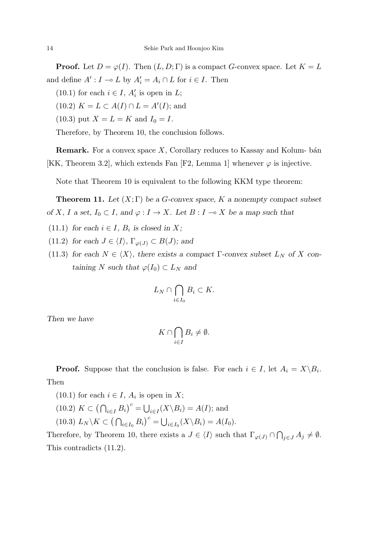**Proof.** Let  $D = \varphi(I)$ . Then  $(L, D; \Gamma)$  is a compact *G*-convex space. Let  $K = L$ and define  $A' : I \to L$  by  $A'_{i} = A_{i} \cap L$  for  $i \in I$ . Then

(10.1) for each  $i \in I$ ,  $A'_i$  is open in  $L$ ;

 $(10.2)$   $K = L \subset A(I) \cap L = A'(I);$  and

 $(10.3)$  put  $X = L = K$  and  $I_0 = I$ .

Therefore, by Theorem 10, the conclusion follows.

**Remark.** For a convex space X, Corollary reduces to Kassay and Kolum- bán [KK, Theorem 3.2], which extends Fan [F2, Lemma 1] whenever  $\varphi$  is injective.

Note that Theorem 10 is equivalent to the following KKM type theorem:

**Theorem 11.** Let  $(X; \Gamma)$  be a *G*-convex space, *K* a nonempty compact subset *of X, I* a set,  $I_0 \subset I$ *, and*  $\varphi : I \to X$ *. Let*  $B : I \to X$  *be a map such that* 

- $(11.1)$  *for each*  $i \in I$ *, B<sub>i</sub> is closed in X;*
- $(11.2)$  *for each*  $J \in \langle I \rangle$ ,  $\Gamma_{\varphi(J)} \subset B(J)$ *; and*
- (11.3) *for each*  $N \in \langle X \rangle$ *, there exists a compact*  $\Gamma$ -convex subset  $L_N$  *of*  $X$  *containing N such that*  $\varphi(I_0) \subset L_N$  *and*

$$
L_N \cap \bigcap_{i \in I_0} B_i \subset K.
$$

*Then we have*

$$
K \cap \bigcap_{i \in I} B_i \neq \emptyset.
$$

**Proof.** Suppose that the conclusion is false. For each  $i \in I$ , let  $A_i = X \setminus B_i$ . Then

 $(10.1)$  for each  $i \in I$ ,  $A_i$  is open in  $X$ ;

- $(10.2)$   $K \subset (\bigcap_{i \in I} B_i)^c = \bigcup_{i \in I} (X \setminus B_i) = A(I);$  and
- $(L_{10.3})$   $L_N \setminus K \subset (\bigcap_{i \in I_0} B_i)^c = \bigcup_{i \in I_0} (X \setminus B_i) = A(I_0).$

Therefore, by Theorem 10, there exists a  $J \in \langle I \rangle$  such that  $\Gamma_{\varphi(J)} \cap \bigcap_{j \in J} A_j \neq \emptyset$ . This contradicts (11.2).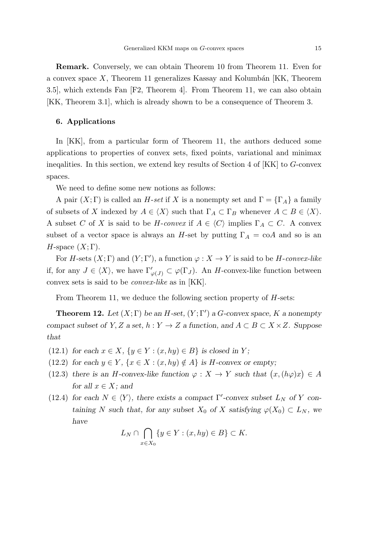**Remark.** Conversely, we can obtain Theorem 10 from Theorem 11. Even for a convex space  $X$ , Theorem 11 generalizes Kassay and Kolumbán  $|KK|$ , Theorem 3.5], which extends Fan [F2, Theorem 4]. From Theorem 11, we can also obtain [KK, Theorem 3.1], which is already shown to be a consequence of Theorem 3.

#### **6. Applications**

In [KK], from a particular form of Theorem 11, the authors deduced some applications to properties of convex sets, fixed points, variational and minimax ineqalities. In this section, we extend key results of Section 4 of [KK] to *G*-convex spaces.

We need to define some new notions as follows:

A pair  $(X;\Gamma)$  is called an *H*-*set* if *X* is a nonempty set and  $\Gamma = {\Gamma_A}$  a family of subsets of *X* indexed by  $A \in \langle X \rangle$  such that  $\Gamma_A \subset \Gamma_B$  whenever  $A \subset B \in \langle X \rangle$ . A subset *C* of *X* is said to be *H*-*convex* if  $A \in \langle C \rangle$  implies  $\Gamma_A \subset C$ . A convex subset of a vector space is always an *H*-set by putting  $\Gamma_A = \text{coA}$  and so is an *H*-space  $(X;\Gamma)$ .

For *H*-sets  $(X; \Gamma)$  and  $(Y; \Gamma')$ , a function  $\varphi: X \to Y$  is said to be *H*-*convex-like* if, for any  $J \in \langle X \rangle$ , we have  $\Gamma'_{\varphi(J)} \subset \varphi(\Gamma_J)$ . An *H*-convex-like function between convex sets is said to be *convex-like* as in [KK].

From Theorem 11, we deduce the following section property of *H*-sets:

**Theorem 12.** Let  $(X; \Gamma)$  be an *H*-set,  $(Y; \Gamma')$  *a G*-convex space, *K a* nonempty *compact subset of*  $Y, Z$  *a set,*  $h: Y \to Z$  *a function, and*  $A \subset B \subset X \times Z$ *. Suppose that*

- (12.1) *for each*  $x \in X$ ,  $\{y \in Y : (x, hy) \in B\}$  *is closed in Y*;
- (12.2) *for each*  $y \in Y$ ,  $\{x \in X : (x, hy) \notin A\}$  *is H*-convex or empty;
- (12.3) *there is an H-convex-like function*  $\varphi : X \to Y$  *such that*  $(x, (h\varphi)x) \in A$ *for all*  $x \in X$ *; and*
- (12.4) *for each*  $N \in \langle Y \rangle$ *, there exists a compact*  $\Gamma'$ -convex subset  $L_N$  *of*  $Y$  *containing N* such that, for any subset  $X_0$  of  $X$  *satisfying*  $\varphi(X_0) \subset L_N$ , we *have*

$$
L_N \cap \bigcap_{x \in X_0} \{ y \in Y : (x, hy) \in B \} \subset K.
$$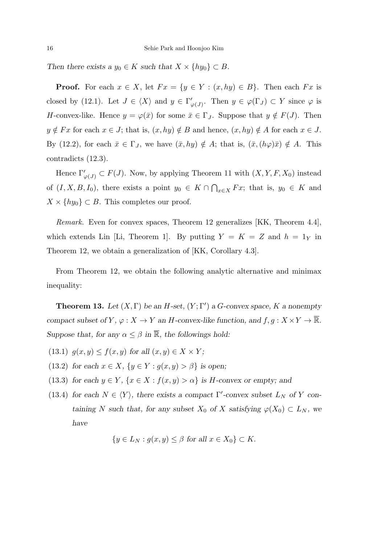*Then there exists a*  $y_0 \in K$  *such that*  $X \times \{hy_0\} \subset B$ .

**Proof.** For each  $x \in X$ , let  $Fx = \{y \in Y : (x, hy) \in B\}$ . Then each  $Fx$  is closed by (12.1). Let  $J \in \langle X \rangle$  and  $y \in \Gamma'_{\varphi(J)}$ . Then  $y \in \varphi(\Gamma_J) \subset Y$  since  $\varphi$  is *H*-convex-like. Hence  $y = \varphi(\bar{x})$  for some  $\bar{x} \in \Gamma_J$ . Suppose that  $y \notin F(J)$ . Then  $y \notin Fx$  for each  $x \in J$ ; that is,  $(x, hy) \notin B$  and hence,  $(x, hy) \notin A$  for each  $x \in J$ . By (12.2), for each  $\bar{x} \in \Gamma_J$ , we have  $(\bar{x}, hy) \notin A$ ; that is,  $(\bar{x}, (h\varphi)\bar{x}) \notin A$ . This contradicts (12.3).

Hence  $\Gamma'_{\varphi(J)} \subset F(J)$ . Now, by applying Theorem 11 with  $(X, Y, F, X_0)$  instead of  $(I, X, B, I_0)$ , there exists a point  $y_0 \in K \cap \bigcap_{x \in X} F_x$ ; that is,  $y_0 \in K$  and  $X \times \{hy_0\} \subset B$ . This completes our proof.

*Remark.* Even for convex spaces, Theorem 12 generalizes [KK, Theorem 4.4], which extends Lin [Li, Theorem 1]. By putting  $Y = K = Z$  and  $h = 1<sub>Y</sub>$  in Theorem 12, we obtain a generalization of [KK, Corollary 4.3].

From Theorem 12, we obtain the following analytic alternative and minimax inequality:

**Theorem 13.** Let  $(X, \Gamma)$  be an  $H$ -set,  $(Y, \Gamma')$  a  $G$ -convex space,  $K$  a nonempty *compact subset of*  $Y$ *,*  $\varphi$  :  $X \to Y$  *an H-convex-like function, and*  $f, g : X \times Y \to \mathbb{R}$ *. Suppose that, for any*  $\alpha \leq \beta$  *in*  $\overline{\mathbb{R}}$ *, the followings hold:* 

- (13.1)  $g(x, y) \le f(x, y)$  for all  $(x, y) \in X \times Y$ ;
- (13.2) *for each*  $x \in X$ ,  $\{y \in Y : g(x, y) > \beta\}$  *is open;*
- (13.3) *for each*  $y \in Y$ ,  $\{x \in X : f(x, y) > \alpha\}$  *is H*-convex or empty; and
- (13.4) *for each*  $N \in \langle Y \rangle$ *, there exists a compact*  $\Gamma'$ -convex subset  $L_N$  *of*  $Y$  *containing N* such that, for any subset  $X_0$  of  $X$  *satisfying*  $\varphi(X_0) \subset L_N$ , we *have*

$$
\{y \in L_N : g(x, y) \le \beta \text{ for all } x \in X_0\} \subset K.
$$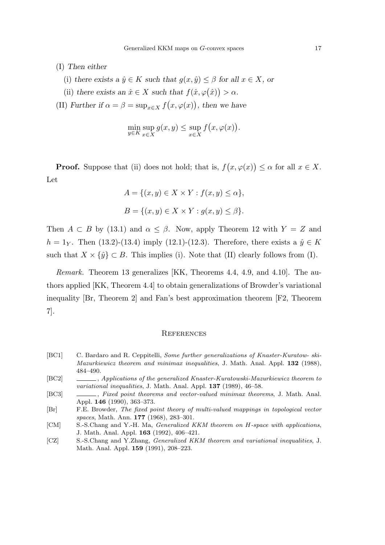- (I) *Then either*
	- (i) *there exists a*  $\hat{y} \in K$  *such that*  $g(x, \hat{y}) \leq \beta$  *for all*  $x \in X$ *, or*
	- (ii) *there exists an*  $\hat{x} \in X$  *such that*  $f(\hat{x}, \varphi(\hat{x})) > \alpha$ *.*
- (II) *Further if*  $\alpha = \beta = \sup_{x \in X} f(x, \varphi(x))$ *, then we have*

$$
\min_{y \in K} \sup_{x \in X} g(x, y) \le \sup_{x \in X} f(x, \varphi(x)).
$$

**Proof.** Suppose that (ii) does not hold; that is,  $f(x, \varphi(x)) \leq \alpha$  for all  $x \in X$ . Let

$$
A = \{(x, y) \in X \times Y : f(x, y) \le \alpha\},\
$$
  

$$
B = \{(x, y) \in X \times Y : g(x, y) \le \beta\}.
$$

Then  $A \subset B$  by (13.1) and  $\alpha \leq \beta$ . Now, apply Theorem 12 with  $Y = Z$  and *h* = 1*y*. Then (13.2)-(13.4) imply (12.1)-(12.3). Therefore, there exists a  $\hat{y} \in K$ such that  $X \times {\hat{y}} \subset B$ . This implies (i). Note that (II) clearly follows from (I).

*Remark.* Theorem 13 generalizes [KK, Theorems 4.4, 4.9, and 4.10]. The authors applied [KK, Theorem 4.4] to obtain generalizations of Browder's variational inequality [Br, Theorem 2] and Fan's best approximation theorem [F2, Theorem 7].

#### **REFERENCES**

- [BC1] C. Bardaro and R. Ceppitelli, *Some further generalizations of Knaster-Kuratow- ski-Mazurkiewicz theorem and minimax inequalities*, J. Math. Anal. Appl. **132** (1988), 484–490.
- [BC2] , *Applications of the generalized Knaster-Kuratowski-Mazurkiewicz theorem to variational inequalities*, J. Math. Anal. Appl. **137** (1989), 46–58.
- [BC3] , *Fixed point theorems and vector-valued minimax theorems*, J. Math. Anal. Appl. **146** (1990), 363–373.
- [Br] F.E. Browder, *The fixed point theory of multi-valued mappings in topological vector spaces*, Math. Ann. **177** (1968), 283–301.
- [CM] S.-S.Chang and Y.-H. Ma, *Generalized KKM theorem on H-space with applications*, J. Math. Anal. Appl. **163** (1992), 406–421.
- [CZ] S.-S.Chang and Y.Zhang, *Generalized KKM theorem and variational inequalities*, J. Math. Anal. Appl. **159** (1991), 208–223.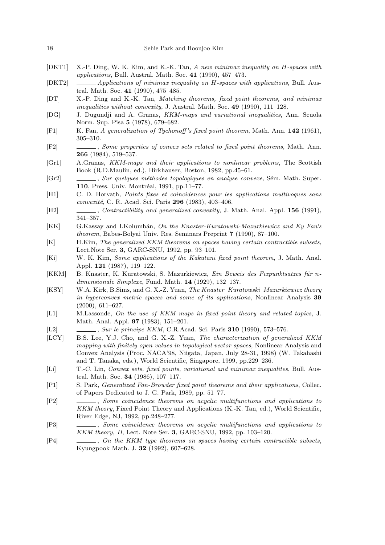- [DKT1] X.-P. Ding, W. K. Kim, and K.-K. Tan, *A new minimax inequality on H-spaces with applications*, Bull. Austral. Math. Soc. **41** (1990), 457–473.
- [DKT2] *Applications of minimax inequality on H-spaces with applications*, Bull. Austral. Math. Soc. **41** (1990), 475–485.
- [DT] X.-P. Ding and K.-K. Tan, *Matching theorems, fixed point theorems, and minimax inequalities without convexity*, J. Austral. Math. Soc. **49** (1990), 111–128.
- [DG] J. Dugundji and A. Granas, *KKM-maps and variational inequalities*, Ann. Scuola Norm. Sup. Pisa **5** (1978), 679–682.
- [F1] K. Fan, *A generalization of Tychonoff 's fixed point theorem*, Math. Ann. **142** (1961), 305–310.
- [F2] , *Some properties of convex sets related to fixed point theorems*, Math. Ann. **266** (1984), 519–537.
- [Gr1] A.Granas, *KKM-maps and their applications to nonlinear problems*, The Scottish Book (R.D.Maulin, ed.), Birkhauser, Boston, 1982, pp.45–61.
- [Gr2] , *Sur quelques méthodes topologiques en analyse convexe*, Sém. Math. Super. **110**, Press. Univ. Montréal, 1991, pp.11–77.
- [H1] C. D. Horvath, *Points fixes et coincidences pour les applications multivoques sans convexit´e*, C. R. Acad. Sci. Paris **296** (1983), 403–406.
- [H2] , *Contractibility and generalized convexity*, J. Math. Anal. Appl. **156** (1991), 341–357.
- [KK] G.Kassay and I.Kolumbán, *On the Knaster-Kuratowski-Mazurkiewicz and Ky Fan's theorem*, Babes-Bolyai Univ. Res. Seminars Preprint **7** (1990), 87–100.
- [K] H.Kim, *The generalized KKM theorems on spaces having certain contractible subsets*, Lect.Note Ser. **3**, GARC-SNU, 1992, pp. 93–101.
- [Ki] W. K. Kim, *Some applications of the Kakutani fixed point theorem*, J. Math. Anal. Appl. **121** (1987), 119–122.
- [KKM] B. Knaster, K. Kuratowski, S. Mazurkiewicz, *Ein Beweis des Fixpunktsatzes für ndimensionale Simplexe*, Fund. Math. **14** (1929), 132–137.
- [KSY] W.A. Kirk, B.Sims, and G. X.-Z. Yuan, *The Knaster–Kuratowski–Mazurkiewicz theory in hyperconvex metric spaces and some of its applications*, Nonlinear Analysis **39** (2000), 611–627.
- [L1] M.Lassonde, *On the use of KKM maps in fixed point theory and related topics*, J. Math. Anal. Appl. **97** (1983), 151–201.
- [L2] , *Sur le principe KKM*, C.R.Acad. Sci. Paris **310** (1990), 573–576.
- [LCY] B.S. Lee, Y.J. Cho, and G. X.-Z. Yuan, *The characterization of generalized KKM mapping with finitely open values in topological vector spaces*, Nonlinear Analysis and Convex Analysis (Proc. NACA'98, Niigata, Japan, July 28-31, 1998) (W. Takahashi and T. Tanaka, eds.), World Scientific, Singapore, 1999, pp.229–236.
- [Li] T.-C. Lin, *Convex sets, fixed points, variational and minimax inequalites*, Bull. Austral. Math. Soc. **34** (1986), 107–117.
- [P1] S. Park, *Generalized Fan-Browder fixed point theorems and their applications*, Collec. of Papers Dedicated to J. G. Park, 1989, pp. 51–77.
- [P2] , *Some coincidence theorems on acyclic multifunctions and applications to KKM theory*, Fixed Point Theory and Applications (K.-K. Tan, ed.), World Scientific, River Edge, NJ, 1992, pp.248–277.
- [P3] , *Some coincidence theorems on acyclic multifunctions and applications to KKM theory, II*, Lect. Note Ser. **3**, GARC-SNU, 1992, pp. 103–120.
- [P4] , *On the KKM type theorems on spaces having certain contractible subsets*, Kyungpook Math. J. **32** (1992), 607–628.